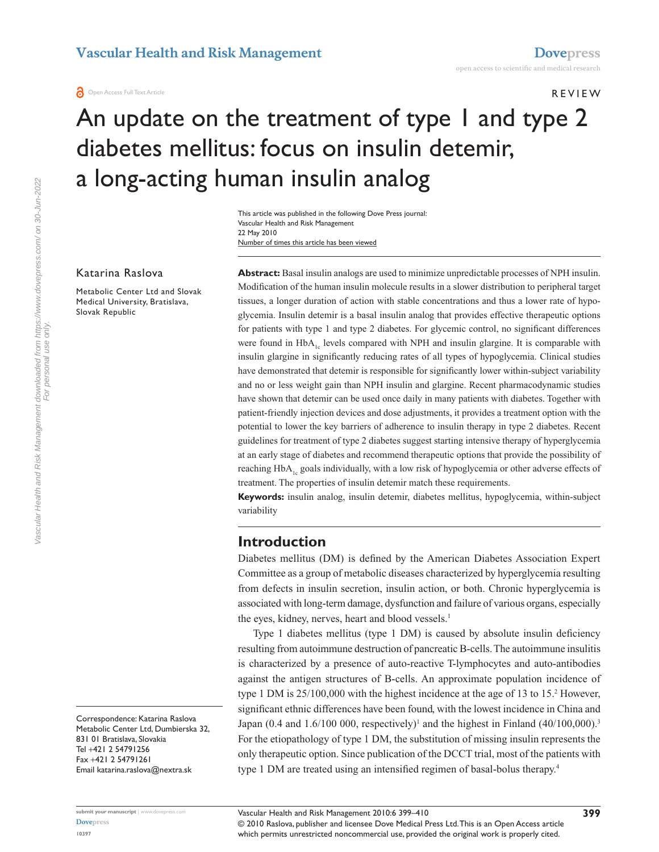#### R e v iew

# An update on the treatment of type I and type 2 diabetes mellitus: focus on insulin detemir, a long-acting human insulin analog

Number of times this article has been viewed This article was published in the following Dove Press journal: Vascular Health and Risk Management 22 May 2010

#### Katarina Raslova

Metabolic Center Ltd and Slovak Medical University, Bratislava, Slovak Republic

**Abstract:** Basal insulin analogs are used to minimize unpredictable processes of NPH insulin. Modification of the human insulin molecule results in a slower distribution to peripheral target tissues, a longer duration of action with stable concentrations and thus a lower rate of hypoglycemia. Insulin detemir is a basal insulin analog that provides effective therapeutic options for patients with type 1 and type 2 diabetes. For glycemic control, no significant differences were found in  $HbA_{1c}$  levels compared with NPH and insulin glargine. It is comparable with insulin glargine in significantly reducing rates of all types of hypoglycemia. Clinical studies have demonstrated that detemir is responsible for significantly lower within-subject variability and no or less weight gain than NPH insulin and glargine. Recent pharmacodynamic studies have shown that detemir can be used once daily in many patients with diabetes. Together with patient-friendly injection devices and dose adjustments, it provides a treatment option with the potential to lower the key barriers of adherence to insulin therapy in type 2 diabetes. Recent guidelines for treatment of type 2 diabetes suggest starting intensive therapy of hyperglycemia at an early stage of diabetes and recommend therapeutic options that provide the possibility of reaching  $HbA<sub>1c</sub>$  goals individually, with a low risk of hypoglycemia or other adverse effects of treatment. The properties of insulin detemir match these requirements.

**Keywords:** insulin analog, insulin detemir, diabetes mellitus, hypoglycemia, within-subject variability

### **Introduction**

Diabetes mellitus (DM) is defined by the American Diabetes Association Expert Committee as a group of metabolic diseases characterized by hyperglycemia resulting from defects in insulin secretion, insulin action, or both. Chronic hyperglycemia is associated with long-term damage, dysfunction and failure of various organs, especially the eyes, kidney, nerves, heart and blood vessels.<sup>1</sup>

Type 1 diabetes mellitus (type 1 DM) is caused by absolute insulin deficiency resulting from autoimmune destruction of pancreatic B-cells. The autoimmune insulitis is characterized by a presence of auto-reactive T-lymphocytes and auto-antibodies against the antigen structures of B-cells. An approximate population incidence of type 1 DM is 25/100,000 with the highest incidence at the age of 13 to 15.<sup>2</sup> However, significant ethnic differences have been found, with the lowest incidence in China and Japan (0.4 and  $1.6/100000$ , respectively)<sup>1</sup> and the highest in Finland (40/100,000).<sup>3</sup> For the etiopathology of type 1 DM, the substitution of missing insulin represents the only therapeutic option. Since publication of the DCCT trial, most of the patients with type 1 DM are treated using an intensified regimen of basal-bolus therapy.<sup>4</sup>

Vascular Health and Risk Management downloaded from https://www.dovepress.com/ on 30-Jun-2022<br>For personal use only. Vascular Health and Risk Management downloaded from https://www.dovepress.com/ on 30-Jun-2022 For personal use only.

> Correspondence: Katarina Raslova Metabolic Center Ltd, Dumbierska 32, 831 01 Bratislava, Slovakia Tel +421 2 54791256 Fax +421 2 54791261 Email katarina.raslova@nextra.sk

© 2010 Raslova, publisher and licensee Dove Medical Press Ltd. This is an Open Access article which permits unrestricted noncommercial use, provided the original work is properly cited. Vascular Health and Risk Management 2010:6 399–410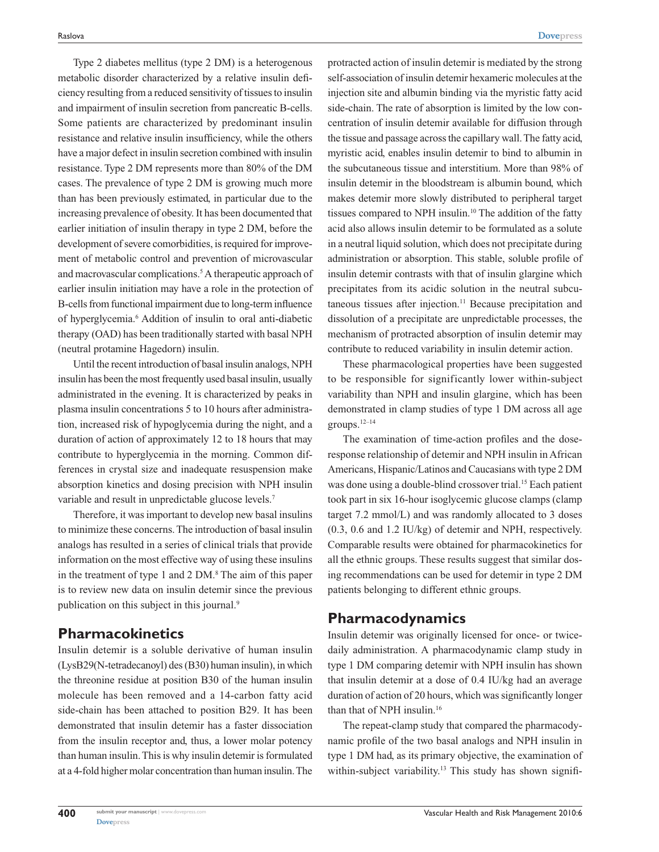Type 2 diabetes mellitus (type 2 DM) is a heterogenous metabolic disorder characterized by a relative insulin deficiency resulting from a reduced sensitivity of tissues to insulin and impairment of insulin secretion from pancreatic B-cells. Some patients are characterized by predominant insulin resistance and relative insulin insufficiency, while the others have a major defect in insulin secretion combined with insulin resistance. Type 2 DM represents more than 80% of the DM cases. The prevalence of type 2 DM is growing much more than has been previously estimated, in particular due to the increasing prevalence of obesity. It has been documented that earlier initiation of insulin therapy in type 2 DM, before the development of severe comorbidities, is required for improvement of metabolic control and prevention of microvascular and macrovascular complications.<sup>5</sup> A therapeutic approach of earlier insulin initiation may have a role in the protection of B-cells from functional impairment due to long-term influence of hyperglycemia.<sup>6</sup> Addition of insulin to oral anti-diabetic therapy (OAD) has been traditionally started with basal NPH (neutral protamine Hagedorn) insulin.

Until the recent introduction of basal insulin analogs, NPH insulin has been the most frequently used basal insulin, usually administrated in the evening. It is characterized by peaks in plasma insulin concentrations 5 to 10 hours after administration, increased risk of hypoglycemia during the night, and a duration of action of approximately 12 to 18 hours that may contribute to hyperglycemia in the morning. Common differences in crystal size and inadequate resuspension make absorption kinetics and dosing precision with NPH insulin variable and result in unpredictable glucose levels.<sup>7</sup>

Therefore, it was important to develop new basal insulins to minimize these concerns. The introduction of basal insulin analogs has resulted in a series of clinical trials that provide information on the most effective way of using these insulins in the treatment of type 1 and 2 DM.<sup>8</sup> The aim of this paper is to review new data on insulin detemir since the previous publication on this subject in this journal.<sup>9</sup>

## **Pharmacokinetics**

Insulin detemir is a soluble derivative of human insulin (LysB29(N-tetradecanoyl) des (B30) human insulin), in which the threonine residue at position B30 of the human insulin molecule has been removed and a 14-carbon fatty acid side-chain has been attached to position B29. It has been demonstrated that insulin detemir has a faster dissociation from the insulin receptor and, thus, a lower molar potency than human insulin. This is why insulin detemir is formulated at a 4-fold higher molar concentration than human insulin. The

protracted action of insulin detemir is mediated by the strong self-association of insulin detemir hexameric molecules at the injection site and albumin binding via the myristic fatty acid side-chain. The rate of absorption is limited by the low concentration of insulin detemir available for diffusion through the tissue and passage across the capillary wall. The fatty acid, myristic acid, enables insulin detemir to bind to albumin in the subcutaneous tissue and interstitium. More than 98% of insulin detemir in the bloodstream is albumin bound, which makes detemir more slowly distributed to peripheral target tissues compared to NPH insulin.10 The addition of the fatty acid also allows insulin detemir to be formulated as a solute in a neutral liquid solution, which does not precipitate during administration or absorption. This stable, soluble profile of insulin detemir contrasts with that of insulin glargine which precipitates from its acidic solution in the neutral subcutaneous tissues after injection.<sup>11</sup> Because precipitation and dissolution of a precipitate are unpredictable processes, the mechanism of protracted absorption of insulin detemir may contribute to reduced variability in insulin detemir action.

These pharmacological properties have been suggested to be responsible for significantly lower within-subject variability than NPH and insulin glargine, which has been demonstrated in clamp studies of type 1 DM across all age groups.12–14

The examination of time-action profiles and the doseresponse relationship of detemir and NPH insulin in African Americans, Hispanic/Latinos and Caucasians with type 2 DM was done using a double-blind crossover trial.<sup>15</sup> Each patient took part in six 16-hour isoglycemic glucose clamps (clamp target 7.2 mmol/L) and was randomly allocated to 3 doses (0.3, 0.6 and 1.2 IU/kg) of detemir and NPH, respectively. Comparable results were obtained for pharmacokinetics for all the ethnic groups. These results suggest that similar dosing recommendations can be used for detemir in type 2 DM patients belonging to different ethnic groups.

## **Pharmacodynamics**

Insulin detemir was originally licensed for once- or twicedaily administration. A pharmacodynamic clamp study in type 1 DM comparing detemir with NPH insulin has shown that insulin detemir at a dose of 0.4 IU/kg had an average duration of action of 20 hours, which was significantly longer than that of NPH insulin.16

The repeat-clamp study that compared the pharmacodynamic profile of the two basal analogs and NPH insulin in type 1 DM had, as its primary objective, the examination of within-subject variability.<sup>13</sup> This study has shown signifi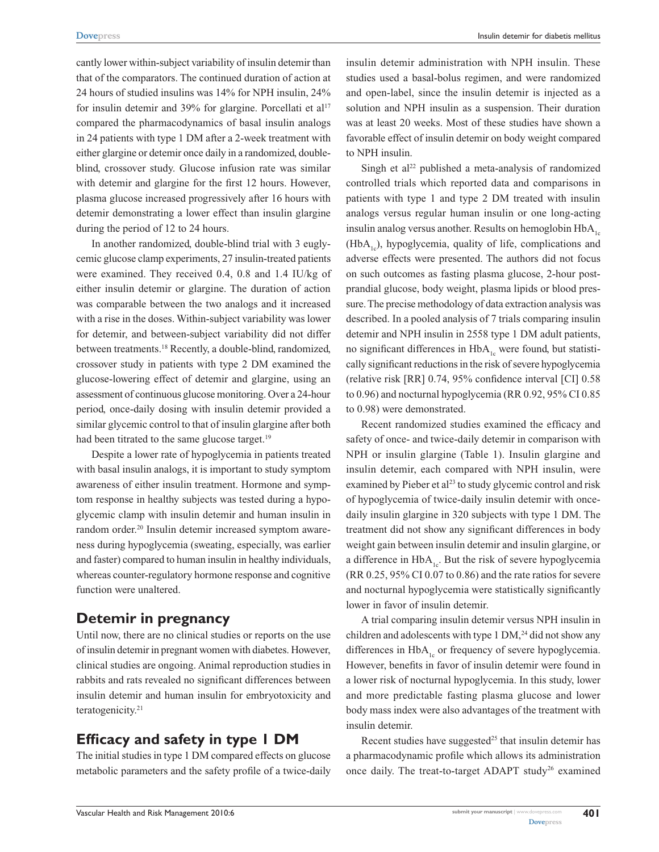cantly lower within-subject variability of insulin detemir than that of the comparators. The continued duration of action at 24 hours of studied insulins was 14% for NPH insulin, 24% for insulin detemir and  $39\%$  for glargine. Porcellati et al<sup>17</sup> compared the pharmacodynamics of basal insulin analogs in 24 patients with type 1 DM after a 2-week treatment with either glargine or detemir once daily in a randomized, doubleblind, crossover study. Glucose infusion rate was similar with detemir and glargine for the first 12 hours. However, plasma glucose increased progressively after 16 hours with detemir demonstrating a lower effect than insulin glargine during the period of 12 to 24 hours.

In another randomized, double-blind trial with 3 euglycemic glucose clamp experiments, 27 insulin-treated patients were examined. They received 0.4, 0.8 and 1.4 IU/kg of either insulin detemir or glargine. The duration of action was comparable between the two analogs and it increased with a rise in the doses. Within-subject variability was lower for detemir, and between-subject variability did not differ between treatments.18 Recently, a double-blind, randomized, crossover study in patients with type 2 DM examined the glucose-lowering effect of detemir and glargine, using an assessment of continuous glucose monitoring. Over a 24-hour period, once-daily dosing with insulin detemir provided a similar glycemic control to that of insulin glargine after both had been titrated to the same glucose target.<sup>19</sup>

Despite a lower rate of hypoglycemia in patients treated with basal insulin analogs, it is important to study symptom awareness of either insulin treatment. Hormone and symptom response in healthy subjects was tested during a hypoglycemic clamp with insulin detemir and human insulin in random order.<sup>20</sup> Insulin detemir increased symptom awareness during hypoglycemia (sweating, especially, was earlier and faster) compared to human insulin in healthy individuals, whereas counter-regulatory hormone response and cognitive function were unaltered.

## **Detemir in pregnancy**

Until now, there are no clinical studies or reports on the use of insulin detemir in pregnant women with diabetes. However, clinical studies are ongoing. Animal reproduction studies in rabbits and rats revealed no significant differences between insulin detemir and human insulin for embryotoxicity and teratogenicity.21

# **Efficacy and safety in type 1 DM**

The initial studies in type 1 DM compared effects on glucose metabolic parameters and the safety profile of a twice-daily

insulin detemir administration with NPH insulin. These studies used a basal-bolus regimen, and were randomized and open-label, since the insulin detemir is injected as a solution and NPH insulin as a suspension. Their duration was at least 20 weeks. Most of these studies have shown a favorable effect of insulin detemir on body weight compared to NPH insulin.

Singh et al<sup>22</sup> published a meta-analysis of randomized controlled trials which reported data and comparisons in patients with type 1 and type 2 DM treated with insulin analogs versus regular human insulin or one long-acting insulin analog versus another. Results on hemoglobin  $HbA<sub>1c</sub>$  $(HbA<sub>1c</sub>)$ , hypoglycemia, quality of life, complications and adverse effects were presented. The authors did not focus on such outcomes as fasting plasma glucose, 2-hour postprandial glucose, body weight, plasma lipids or blood pressure. The precise methodology of data extraction analysis was described. In a pooled analysis of 7 trials comparing insulin detemir and NPH insulin in 2558 type 1 DM adult patients, no significant differences in  $HbA_{1c}$  were found, but statistically significant reductions in the risk of severe hypoglycemia (relative risk [RR] 0.74, 95% confidence interval [CI] 0.58 to 0.96) and nocturnal hypoglycemia (RR 0.92, 95% CI 0.85 to 0.98) were demonstrated.

Recent randomized studies examined the efficacy and safety of once- and twice-daily detemir in comparison with NPH or insulin glargine (Table 1). Insulin glargine and insulin detemir, each compared with NPH insulin, were examined by Pieber et al<sup>23</sup> to study glycemic control and risk of hypoglycemia of twice-daily insulin detemir with oncedaily insulin glargine in 320 subjects with type 1 DM. The treatment did not show any significant differences in body weight gain between insulin detemir and insulin glargine, or a difference in  $HbA_{1c}$ . But the risk of severe hypoglycemia (RR 0.25, 95% CI 0.07 to 0.86) and the rate ratios for severe and nocturnal hypoglycemia were statistically significantly lower in favor of insulin detemir.

A trial comparing insulin detemir versus NPH insulin in children and adolescents with type  $1 \text{ DM}^{24}$  did not show any differences in  $HbA_{1c}$  or frequency of severe hypoglycemia. However, benefits in favor of insulin detemir were found in a lower risk of nocturnal hypoglycemia. In this study, lower and more predictable fasting plasma glucose and lower body mass index were also advantages of the treatment with insulin detemir.

Recent studies have suggested<sup>25</sup> that insulin detemir has a pharmacodynamic profile which allows its administration once daily. The treat-to-target ADAPT study<sup>26</sup> examined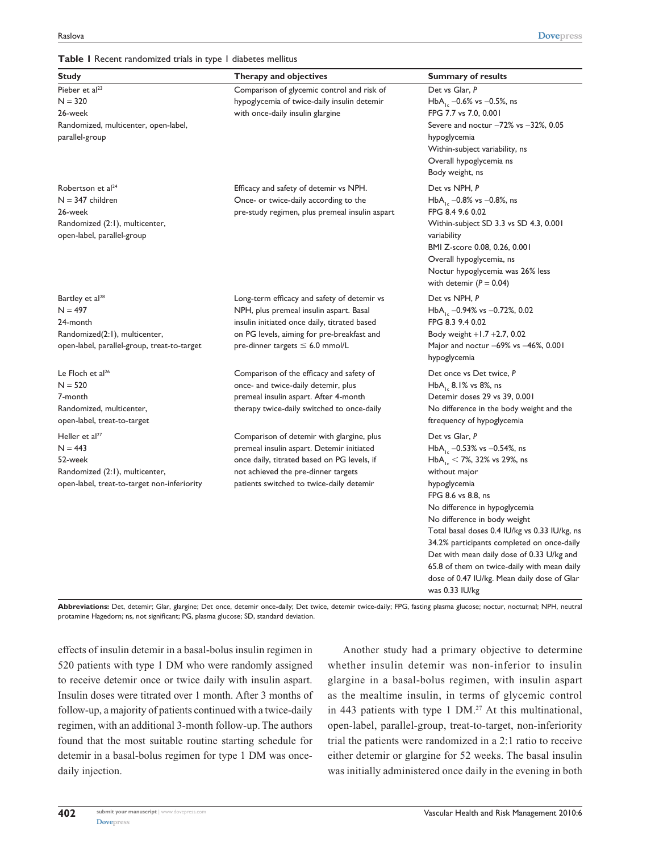#### **Table 1** Recent randomized trials in type 1 diabetes mellitus

| <b>Study</b>                                                                                                                         | Therapy and objectives                                                                                                                                                                                                          | <b>Summary of results</b>                                                                                                                                                                                                                                                                                                                                                                                                                                                       |
|--------------------------------------------------------------------------------------------------------------------------------------|---------------------------------------------------------------------------------------------------------------------------------------------------------------------------------------------------------------------------------|---------------------------------------------------------------------------------------------------------------------------------------------------------------------------------------------------------------------------------------------------------------------------------------------------------------------------------------------------------------------------------------------------------------------------------------------------------------------------------|
| Pieber et al <sup>23</sup><br>$N = 320$<br>26-week<br>Randomized, multicenter, open-label,<br>parallel-group                         | Comparison of glycemic control and risk of<br>hypoglycemia of twice-daily insulin detemir<br>with once-daily insulin glargine                                                                                                   | Det vs Glar, P<br>HbA <sub>1c</sub> -0.6% vs -0.5%, ns<br>FPG 7.7 vs 7.0, 0.001<br>Severe and noctur $-72\%$ vs $-32\%$ , 0.05<br>hypoglycemia<br>Within-subject variability, ns<br>Overall hypoglycemia ns<br>Body weight, ns                                                                                                                                                                                                                                                  |
| Robertson et al <sup>24</sup><br>$N = 347$ children<br>26-week<br>Randomized (2:1), multicenter,<br>open-label, parallel-group       | Efficacy and safety of detemir vs NPH.<br>Once- or twice-daily according to the<br>pre-study regimen, plus premeal insulin aspart                                                                                               | Det vs NPH, P<br>HbA <sub>1c</sub> -0.8% vs -0.8%, ns<br>FPG 8.4 9.6 0.02<br>Within-subject SD 3.3 vs SD 4.3, 0.001<br>variability<br>BMI Z-score 0.08, 0.26, 0.001<br>Overall hypoglycemia, ns<br>Noctur hypoglycemia was 26% less<br>with detemir ( $P = 0.04$ )                                                                                                                                                                                                              |
| Bartley et al <sup>28</sup><br>$N = 497$<br>24-month<br>Randomized(2:1), multicenter,<br>open-label, parallel-group, treat-to-target | Long-term efficacy and safety of detemir vs<br>NPH, plus premeal insulin aspart. Basal<br>insulin initiated once daily, titrated based<br>on PG levels, aiming for pre-breakfast and<br>$pre$ -dinner targets $\leq$ 6.0 mmol/L | Det vs NPH, P<br>HbA <sub>1c</sub> -0.94% vs -0.72%, 0.02<br>FPG 8.3 9.4 0.02<br>Body weight $+1.7 +2.7$ , 0.02<br>Major and noctur $-69\%$ vs $-46\%$ , 0.001<br>hypoglycemia                                                                                                                                                                                                                                                                                                  |
| Le Floch et $al^{26}$<br>$N = 520$<br>7-month<br>Randomized, multicenter,<br>open-label, treat-to-target                             | Comparison of the efficacy and safety of<br>once- and twice-daily detemir, plus<br>premeal insulin aspart. After 4-month<br>therapy twice-daily switched to once-daily                                                          | Det once vs Det twice, P<br>$HbA_{16}$ , 8.1% vs 8%, ns<br>Detemir doses 29 vs 39, 0.001<br>No difference in the body weight and the<br>ftrequency of hypoglycemia                                                                                                                                                                                                                                                                                                              |
| Heller et $al^{27}$<br>$N = 443$<br>52-week<br>Randomized (2:1), multicenter,<br>open-label, treat-to-target non-inferiority         | Comparison of detemir with glargine, plus<br>premeal insulin aspart. Detemir initiated<br>once daily, titrated based on PG levels, if<br>not achieved the pre-dinner targets<br>patients switched to twice-daily detemir        | Det vs Glar, P<br>HbA <sub>1s</sub> -0.53% vs -0.54%, ns<br>$HbA_{16}$ < 7%, 32% vs 29%, ns<br>without major<br>hypoglycemia<br>FPG 8.6 vs 8.8, ns<br>No difference in hypoglycemia<br>No difference in body weight<br>Total basal doses 0.4 IU/kg vs 0.33 IU/kg, ns<br>34.2% participants completed on once-daily<br>Det with mean daily dose of 0.33 U/kg and<br>65.8 of them on twice-daily with mean daily<br>dose of 0.47 IU/kg. Mean daily dose of Glar<br>was 0.33 IU/kg |

**Abbreviations:** Det, detemir; Glar, glargine; Det once, detemir once-daily; Det twice, detemir twice-daily; FPG, fasting plasma glucose; noctur, nocturnal; NPH, neutral protamine Hagedorn; ns, not significant; PG, plasma glucose; SD, standard deviation.

effects of insulin detemir in a basal-bolus insulin regimen in 520 patients with type 1 DM who were randomly assigned to receive detemir once or twice daily with insulin aspart. Insulin doses were titrated over 1 month. After 3 months of follow-up, a majority of patients continued with a twice-daily regimen, with an additional 3-month follow-up. The authors found that the most suitable routine starting schedule for detemir in a basal-bolus regimen for type 1 DM was oncedaily injection.

Another study had a primary objective to determine whether insulin detemir was non-inferior to insulin glargine in a basal-bolus regimen, with insulin aspart as the mealtime insulin, in terms of glycemic control in 443 patients with type 1  $DM.^{27}$  At this multinational, open-label, parallel-group, treat-to-target, non-inferiority trial the patients were randomized in a 2:1 ratio to receive either detemir or glargine for 52 weeks. The basal insulin was initially administered once daily in the evening in both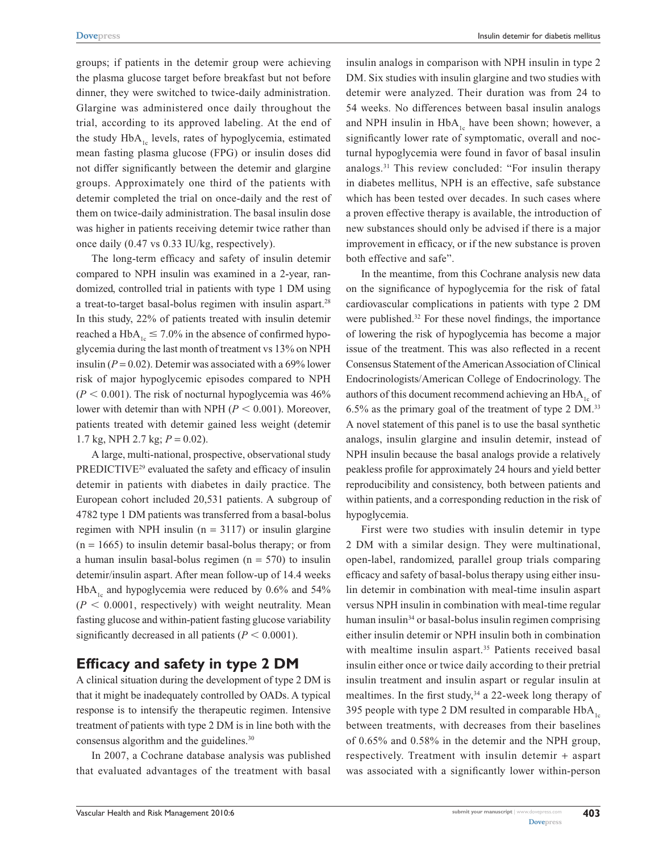groups; if patients in the detemir group were achieving the plasma glucose target before breakfast but not before dinner, they were switched to twice-daily administration. Glargine was administered once daily throughout the trial, according to its approved labeling. At the end of the study  $HbA_{1c}$  levels, rates of hypoglycemia, estimated mean fasting plasma glucose (FPG) or insulin doses did not differ significantly between the detemir and glargine groups. Approximately one third of the patients with detemir completed the trial on once-daily and the rest of them on twice-daily administration. The basal insulin dose was higher in patients receiving detemir twice rather than once daily (0.47 vs 0.33 IU/kg, respectively).

The long-term efficacy and safety of insulin detemir compared to NPH insulin was examined in a 2-year, randomized, controlled trial in patients with type 1 DM using a treat-to-target basal-bolus regimen with insulin aspart.<sup>28</sup> In this study, 22% of patients treated with insulin detemir reached a HbA<sub>1c</sub>  $\leq$  7.0% in the absence of confirmed hypoglycemia during the last month of treatment vs 13% on NPH insulin  $(P = 0.02)$ . Detemir was associated with a 69% lower risk of major hypoglycemic episodes compared to NPH  $(P < 0.001)$ . The risk of nocturnal hypoglycemia was  $46\%$ lower with detemir than with NPH ( $P < 0.001$ ). Moreover, patients treated with detemir gained less weight (detemir 1.7 kg, NPH 2.7 kg; *P* = 0.02).

A large, multi-national, prospective, observational study PREDICTIVE<sup>29</sup> evaluated the safety and efficacy of insulin detemir in patients with diabetes in daily practice. The European cohort included 20,531 patients. A subgroup of 4782 type 1 DM patients was transferred from a basal-bolus regimen with NPH insulin  $(n = 3117)$  or insulin glargine  $(n = 1665)$  to insulin detemir basal-bolus therapy; or from a human insulin basal-bolus regimen  $(n = 570)$  to insulin detemir/insulin aspart. After mean follow-up of 14.4 weeks  $HbA<sub>1c</sub>$  and hypoglycemia were reduced by 0.6% and 54%  $(P < 0.0001$ , respectively) with weight neutrality. Mean fasting glucose and within-patient fasting glucose variability significantly decreased in all patients  $(P < 0.0001)$ .

## **Efficacy and safety in type 2 DM**

A clinical situation during the development of type 2 DM is that it might be inadequately controlled by OADs. A typical response is to intensify the therapeutic regimen. Intensive treatment of patients with type 2 DM is in line both with the consensus algorithm and the guidelines.<sup>30</sup>

In 2007, a Cochrane database analysis was published that evaluated advantages of the treatment with basal

insulin analogs in comparison with NPH insulin in type 2 DM. Six studies with insulin glargine and two studies with detemir were analyzed. Their duration was from 24 to 54 weeks. No differences between basal insulin analogs and NPH insulin in  $HbA_{1c}$  have been shown; however, a significantly lower rate of symptomatic, overall and nocturnal hypoglycemia were found in favor of basal insulin analogs.31 This review concluded: "For insulin therapy in diabetes mellitus, NPH is an effective, safe substance which has been tested over decades. In such cases where a proven effective therapy is available, the introduction of new substances should only be advised if there is a major improvement in efficacy, or if the new substance is proven both effective and safe".

In the meantime, from this Cochrane analysis new data on the significance of hypoglycemia for the risk of fatal cardiovascular complications in patients with type 2 DM were published.<sup>32</sup> For these novel findings, the importance of lowering the risk of hypoglycemia has become a major issue of the treatment. This was also reflected in a recent Consensus Statement of the American Association of Clinical Endocrinologists/American College of Endocrinology. The authors of this document recommend achieving an  $HbA<sub>1c</sub>$  of 6.5% as the primary goal of the treatment of type 2 DM.33 A novel statement of this panel is to use the basal synthetic analogs, insulin glargine and insulin detemir, instead of NPH insulin because the basal analogs provide a relatively peakless profile for approximately 24 hours and yield better reproducibility and consistency, both between patients and within patients, and a corresponding reduction in the risk of hypoglycemia.

First were two studies with insulin detemir in type 2 DM with a similar design. They were multinational, open-label, randomized, parallel group trials comparing efficacy and safety of basal-bolus therapy using either insulin detemir in combination with meal-time insulin aspart versus NPH insulin in combination with meal-time regular human insulin<sup>34</sup> or basal-bolus insulin regimen comprising either insulin detemir or NPH insulin both in combination with mealtime insulin aspart.<sup>35</sup> Patients received basal insulin either once or twice daily according to their pretrial insulin treatment and insulin aspart or regular insulin at mealtimes. In the first study,  $34$  a 22-week long therapy of 395 people with type 2 DM resulted in comparable  $HbA<sub>1c</sub>$ between treatments, with decreases from their baselines of 0.65% and 0.58% in the detemir and the NPH group, respectively. Treatment with insulin detemir + aspart was associated with a significantly lower within-person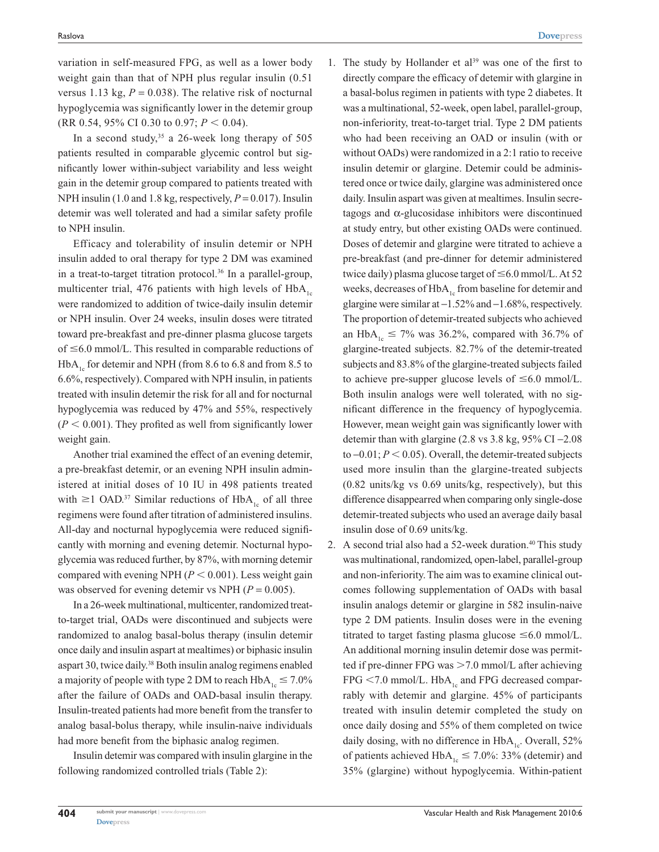variation in self-measured FPG, as well as a lower body weight gain than that of NPH plus regular insulin (0.51 versus 1.13 kg,  $P = 0.038$ ). The relative risk of nocturnal hypoglycemia was significantly lower in the detemir group (RR 0.54, 95% CI 0.30 to 0.97;  $P < 0.04$ ).

In a second study,<sup>35</sup> a 26-week long therapy of 505 patients resulted in comparable glycemic control but significantly lower within-subject variability and less weight gain in the detemir group compared to patients treated with NPH insulin (1.0 and 1.8 kg, respectively, *P* = 0.017). Insulin detemir was well tolerated and had a similar safety profile to NPH insulin.

Efficacy and tolerability of insulin detemir or NPH insulin added to oral therapy for type 2 DM was examined in a treat-to-target titration protocol.<sup>36</sup> In a parallel-group, multicenter trial, 476 patients with high levels of  $HbA<sub>1c</sub>$ were randomized to addition of twice-daily insulin detemir or NPH insulin. Over 24 weeks, insulin doses were titrated toward pre-breakfast and pre-dinner plasma glucose targets of  $\leq 6.0$  mmol/L. This resulted in comparable reductions of  $HbA<sub>1c</sub>$  for detemir and NPH (from 8.6 to 6.8 and from 8.5 to 6.6%, respectively). Compared with NPH insulin, in patients treated with insulin detemir the risk for all and for nocturnal hypoglycemia was reduced by 47% and 55%, respectively  $(P < 0.001)$ . They profited as well from significantly lower weight gain.

Another trial examined the effect of an evening detemir, a pre-breakfast detemir, or an evening NPH insulin administered at initial doses of 10 IU in 498 patients treated with  $\geq$  1 OAD.<sup>37</sup> Similar reductions of HbA<sub>1c</sub> of all three regimens were found after titration of administered insulins. All-day and nocturnal hypoglycemia were reduced significantly with morning and evening detemir. Nocturnal hypoglycemia was reduced further, by 87%, with morning detemir compared with evening NPH  $(P < 0.001)$ . Less weight gain was observed for evening detemir vs NPH  $(P = 0.005)$ .

In a 26-week multinational, multicenter, randomized treatto-target trial, OADs were discontinued and subjects were randomized to analog basal-bolus therapy (insulin detemir once daily and insulin aspart at mealtimes) or biphasic insulin aspart 30, twice daily.38 Both insulin analog regimens enabled a majority of people with type 2 DM to reach  $HbA_{1c} \le 7.0\%$ after the failure of OADs and OAD-basal insulin therapy. Insulin-treated patients had more benefit from the transfer to analog basal-bolus therapy, while insulin-naive individuals had more benefit from the biphasic analog regimen.

Insulin detemir was compared with insulin glargine in the following randomized controlled trials (Table 2):

- 1. The study by Hollander et al<sup>39</sup> was one of the first to directly compare the efficacy of detemir with glargine in a basal-bolus regimen in patients with type 2 diabetes. It was a multinational, 52-week, open label, parallel-group, non-inferiority, treat-to-target trial. Type 2 DM patients who had been receiving an OAD or insulin (with or without OADs) were randomized in a 2:1 ratio to receive insulin detemir or glargine. Detemir could be administered once or twice daily, glargine was administered once daily. Insulin aspart was given at mealtimes. Insulin secretagogs and  $\alpha$ -glucosidase inhibitors were discontinued at study entry, but other existing OADs were continued. Doses of detemir and glargine were titrated to achieve a pre-breakfast (and pre-dinner for detemir administered twice daily) plasma glucose target of  $\leq 6.0$  mmol/L. At 52 weeks, decreases of  $HbA_{1c}$  from baseline for detemir and glargine were similar at −1.52% and −1.68%, respectively. The proportion of detemir-treated subjects who achieved an HbA<sub>1c</sub>  $\leq$  7% was 36.2%, compared with 36.7% of glargine-treated subjects. 82.7% of the detemir-treated subjects and 83.8% of the glargine-treated subjects failed to achieve pre-supper glucose levels of  $\leq 6.0$  mmol/L. Both insulin analogs were well tolerated, with no significant difference in the frequency of hypoglycemia. However, mean weight gain was significantly lower with detemir than with glargine  $(2.8 \text{ vs } 3.8 \text{ kg}, 95\% \text{ CI} - 2.08)$ to  $-0.01$ ;  $P < 0.05$ ). Overall, the detemir-treated subjects used more insulin than the glargine-treated subjects (0.82 units/kg vs 0.69 units/kg, respectively), but this difference disappearred when comparing only single-dose detemir-treated subjects who used an average daily basal insulin dose of 0.69 units/kg.
- 2. A second trial also had a 52-week duration.<sup>40</sup> This study was multinational, randomized, open-label, parallel-group and non-inferiority. The aim was to examine clinical outcomes following supplementation of OADs with basal insulin analogs detemir or glargine in 582 insulin-naive type 2 DM patients. Insulin doses were in the evening titrated to target fasting plasma glucose  $\leq 6.0$  mmol/L. An additional morning insulin detemir dose was permitted if pre-dinner FPG was  $>7.0$  mmol/L after achieving  $FPG < 7.0$  mmol/L. HbA<sub>1c</sub> and FPG decreased comparrably with detemir and glargine. 45% of participants treated with insulin detemir completed the study on once daily dosing and 55% of them completed on twice daily dosing, with no difference in  $HbA_{1c}$ . Overall, 52% of patients achieved  $HbA_{1c} \le 7.0\%$ : 33% (detemir) and 35% (glargine) without hypoglycemia. Within-patient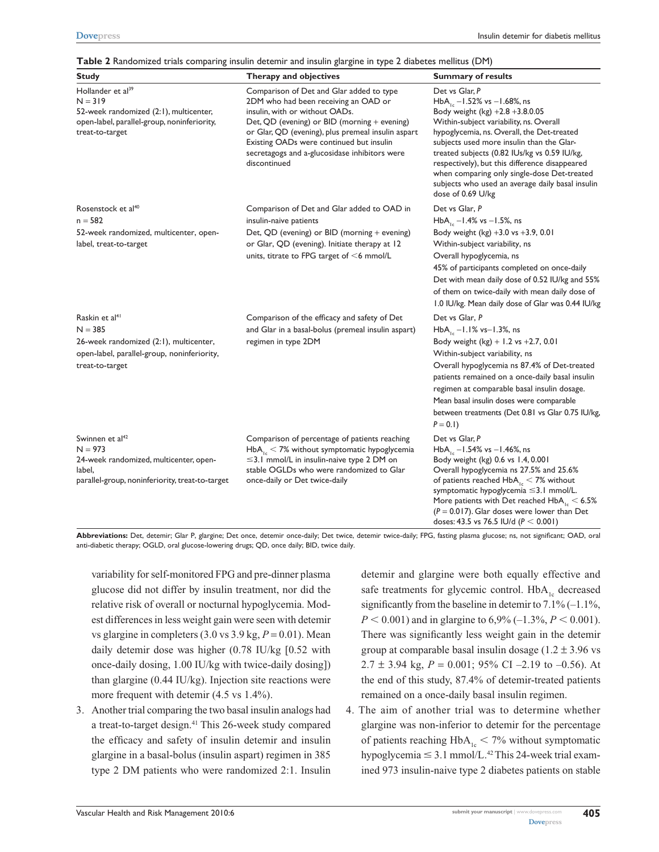| <b>Study</b>                                                                                                                                           | Therapy and objectives                                                                                                                                                                                                                                                                                                                  | <b>Summary of results</b>                                                                                                                                                                                                                                                                                                                                                                                                                                     |
|--------------------------------------------------------------------------------------------------------------------------------------------------------|-----------------------------------------------------------------------------------------------------------------------------------------------------------------------------------------------------------------------------------------------------------------------------------------------------------------------------------------|---------------------------------------------------------------------------------------------------------------------------------------------------------------------------------------------------------------------------------------------------------------------------------------------------------------------------------------------------------------------------------------------------------------------------------------------------------------|
| Hollander et al <sup>39</sup><br>$N = 319$<br>52-week randomized (2:1), multicenter,<br>open-label, parallel-group, noninferiority,<br>treat-to-target | Comparison of Det and Glar added to type<br>2DM who had been receiving an OAD or<br>insulin, with or without OADs.<br>Det, QD (evening) or BID (morning $+$ evening)<br>or Glar, QD (evening), plus premeal insulin aspart<br>Existing OADs were continued but insulin<br>secretagogs and a-glucosidase inhibitors were<br>discontinued | Det vs Glar, P<br>HbA <sub>1c</sub> -1.52% vs -1.68%, ns<br>Body weight (kg) $+2.8 +3.8.0.05$<br>Within-subject variability, ns. Overall<br>hypoglycemia, ns. Overall, the Det-treated<br>subjects used more insulin than the Glar-<br>treated subjects (0.82 IUs/kg vs 0.59 IU/kg,<br>respectively), but this difference disappeared<br>when comparing only single-dose Det-treated<br>subjects who used an average daily basal insulin<br>dose of 0.69 U/kg |
| Rosenstock et al <sup>40</sup><br>$n = 582$<br>52-week randomized, multicenter, open-<br>label, treat-to-target                                        | Comparison of Det and Glar added to OAD in<br>insulin-naive patients<br>Det, QD (evening) or BID (morning + evening)<br>or Glar, QD (evening). Initiate therapy at 12<br>units, titrate to FPG target of $<$ 6 mmol/L                                                                                                                   | Det vs Glar, P<br>HbA <sub>1c</sub> -1.4% vs -1.5%, ns<br>Body weight $(kg) +3.0$ vs $+3.9$ , 0.01<br>Within-subject variability, ns<br>Overall hypoglycemia, ns<br>45% of participants completed on once-daily<br>Det with mean daily dose of 0.52 IU/kg and 55%<br>of them on twice-daily with mean daily dose of<br>1.0 IU/kg. Mean daily dose of Glar was 0.44 IU/kg                                                                                      |
| Raskin et al <sup>41</sup><br>$N = 385$<br>26-week randomized (2:1), multicenter,<br>open-label, parallel-group, noninferiority,<br>treat-to-target    | Comparison of the efficacy and safety of Det<br>and Glar in a basal-bolus (premeal insulin aspart)<br>regimen in type 2DM                                                                                                                                                                                                               | Det vs Glar, P<br>HbA <sub>16</sub> -1.1% vs-1.3%, ns<br>Body weight $(kg) + 1.2$ vs +2.7, 0.01<br>Within-subject variability, ns<br>Overall hypoglycemia ns 87.4% of Det-treated<br>patients remained on a once-daily basal insulin<br>regimen at comparable basal insulin dosage.<br>Mean basal insulin doses were comparable<br>between treatments (Det 0.81 vs Glar 0.75 IU/kg,<br>$P = 0.1$                                                              |
| Swinnen et al <sup>42</sup><br>$N = 973$<br>24-week randomized, multicenter, open-<br>label,<br>parallel-group, noninferiority, treat-to-target        | Comparison of percentage of patients reaching<br>$HbA_{1c}$ < 7% without symptomatic hypoglycemia<br>$\leq$ 3.1 mmol/L in insulin-naive type 2 DM on<br>stable OGLDs who were randomized to Glar<br>once-daily or Det twice-daily                                                                                                       | Det vs Glar, P<br>$HbA_{1c} - 1.54\%$ vs $-1.46\%$ , ns<br>Body weight (kg) 0.6 vs 1.4, 0.001<br>Overall hypoglycemia ns 27.5% and 25.6%<br>of patients reached $HbA_{1c}$ < 7% without<br>symptomatic hypoglycemia ≤3.1 mmol/L.<br>More patients with Det reached $HbA_{1c} < 6.5\%$<br>$(P = 0.017)$ . Glar doses were lower than Det<br>doses: 43.5 vs 76.5 IU/d ( $P < 0.001$ )                                                                           |

**Abbreviations:** Det, detemir; Glar P, glargine; Det once, detemir once-daily; Det twice, detemir twice-daily; FPG, fasting plasma glucose; ns, not significant; OAD, oral anti-diabetic therapy; OGLD, oral glucose-lowering drugs; QD, once daily; BID, twice daily.

variability for self-monitored FPG and pre-dinner plasma glucose did not differ by insulin treatment, nor did the relative risk of overall or nocturnal hypoglycemia. Modest differences in less weight gain were seen with detemir vs glargine in completers  $(3.0 \text{ vs } 3.9 \text{ kg}, P = 0.01)$ . Mean daily detemir dose was higher (0.78 IU/kg [0.52 with once-daily dosing, 1.00 IU/kg with twice-daily dosing]) than glargine (0.44 IU/kg). Injection site reactions were more frequent with detemir (4.5 vs 1.4%).

3. Another trial comparing the two basal insulin analogs had a treat-to-target design.41 This 26-week study compared the efficacy and safety of insulin detemir and insulin glargine in a basal-bolus (insulin aspart) regimen in 385 type 2 DM patients who were randomized 2:1. Insulin

detemir and glargine were both equally effective and safe treatments for glycemic control.  $HbA<sub>1c</sub>$  decreased significantly from the baseline in detemir to  $7.1\%$  (-1.1%,  $P < 0.001$ ) and in glargine to 6,9% (–1.3%,  $P < 0.001$ ). There was significantly less weight gain in the detemir group at comparable basal insulin dosage  $(1.2 \pm 3.96 \text{ vs } 1.2 \pm 1.96 \text{ vs } 1.2 \pm 1.96 \text{ vs } 1.2 \pm 1.96 \text{ vs } 1.2 \pm 1.96 \text{ vs } 1.2 \pm 1.96 \text{ vs } 1.2 \pm 1.96 \text{ vs } 1.2 \pm 1.96 \text{ vs } 1.2 \pm 1.96 \text{ vs } 1.2 \pm 1.96 \text{ vs } 1.2 \pm 1.96 \text{ vs } 1.$ 2.7  $\pm$  3.94 kg,  $P = 0.001$ ; 95% CI –2.19 to –0.56). At the end of this study, 87.4% of detemir-treated patients remained on a once-daily basal insulin regimen.

4. The aim of another trial was to determine whether glargine was non-inferior to detemir for the percentage of patients reaching  $HbA_{1c} < 7\%$  without symptomatic hypoglycemia  $\leq$  3.1 mmol/L.<sup>42</sup> This 24-week trial examined 973 insulin-naive type 2 diabetes patients on stable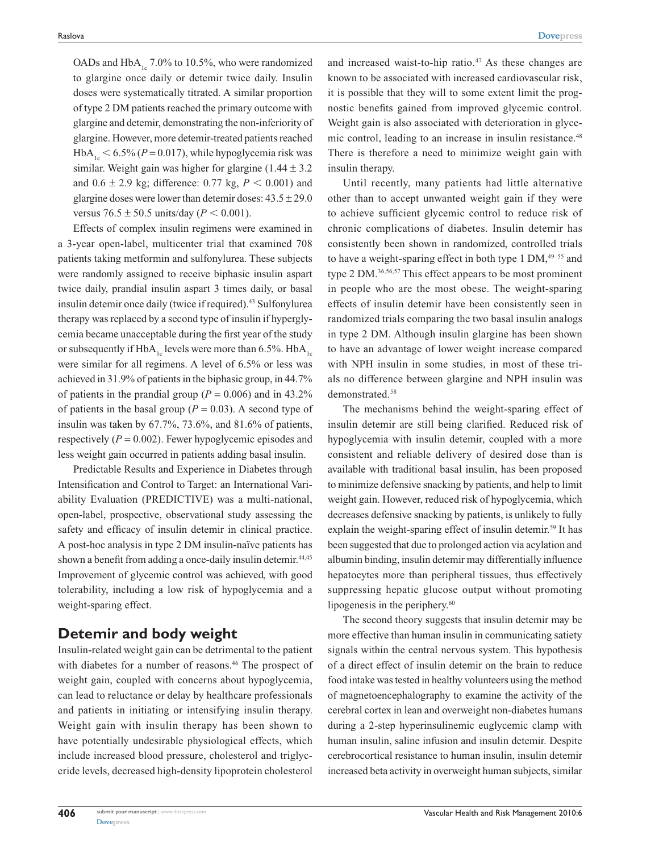OADs and  $HbA_{1c}$  7.0% to 10.5%, who were randomized to glargine once daily or detemir twice daily. Insulin doses were systematically titrated. A similar proportion of type 2 DM patients reached the primary outcome with glargine and detemir, demonstrating the non-inferiority of glargine. However, more detemir-treated patients reached HbA<sub>1c</sub> <  $6.5\%$  ( $P = 0.017$ ), while hypoglycemia risk was similar. Weight gain was higher for glargine  $(1.44 \pm 3.2)$ and  $0.6 \pm 2.9$  kg; difference: 0.77 kg,  $P < 0.001$ ) and glargine doses were lower than detemir doses:  $43.5 \pm 29.0$ versus  $76.5 \pm 50.5$  units/day ( $P < 0.001$ ).

Effects of complex insulin regimens were examined in a 3-year open-label, multicenter trial that examined 708 patients taking metformin and sulfonylurea. These subjects were randomly assigned to receive biphasic insulin aspart twice daily, prandial insulin aspart 3 times daily, or basal insulin detemir once daily (twice if required).<sup>43</sup> Sulfonylurea therapy was replaced by a second type of insulin if hyperglycemia became unacceptable during the first year of the study or subsequently if  $HbA_{1c}$  levels were more than 6.5%.  $HbA_{1c}$ were similar for all regimens. A level of 6.5% or less was achieved in 31.9% of patients in the biphasic group, in 44.7% of patients in the prandial group ( $P = 0.006$ ) and in 43.2% of patients in the basal group ( $P = 0.03$ ). A second type of insulin was taken by 67.7%, 73.6%, and 81.6% of patients, respectively  $(P = 0.002)$ . Fewer hypoglycemic episodes and less weight gain occurred in patients adding basal insulin.

Predictable Results and Experience in Diabetes through Intensification and Control to Target: an International Variability Evaluation (PREDICTIVE) was a multi-national, open-label, prospective, observational study assessing the safety and efficacy of insulin detemir in clinical practice. A post-hoc analysis in type 2 DM insulin-naïve patients has shown a benefit from adding a once-daily insulin detemir.<sup>44,45</sup> Improvement of glycemic control was achieved, with good tolerability, including a low risk of hypoglycemia and a weight-sparing effect.

## **Detemir and body weight**

Insulin-related weight gain can be detrimental to the patient with diabetes for a number of reasons.<sup>46</sup> The prospect of weight gain, coupled with concerns about hypoglycemia, can lead to reluctance or delay by healthcare professionals and patients in initiating or intensifying insulin therapy. Weight gain with insulin therapy has been shown to have potentially undesirable physiological effects, which include increased blood pressure, cholesterol and triglyceride levels, decreased high-density lipoprotein cholesterol and increased waist-to-hip ratio.47 As these changes are known to be associated with increased cardiovascular risk, it is possible that they will to some extent limit the prognostic benefits gained from improved glycemic control. Weight gain is also associated with deterioration in glycemic control, leading to an increase in insulin resistance.<sup>48</sup> There is therefore a need to minimize weight gain with insulin therapy.

Until recently, many patients had little alternative other than to accept unwanted weight gain if they were to achieve sufficient glycemic control to reduce risk of chronic complications of diabetes. Insulin detemir has consistently been shown in randomized, controlled trials to have a weight-sparing effect in both type  $1 \text{ DM}, ^{49-55}$  and type 2 DM.36,56,57 This effect appears to be most prominent in people who are the most obese. The weight-sparing effects of insulin detemir have been consistently seen in randomized trials comparing the two basal insulin analogs in type 2 DM. Although insulin glargine has been shown to have an advantage of lower weight increase compared with NPH insulin in some studies, in most of these trials no difference between glargine and NPH insulin was demonstrated.<sup>58</sup>

The mechanisms behind the weight-sparing effect of insulin detemir are still being clarified. Reduced risk of hypoglycemia with insulin detemir, coupled with a more consistent and reliable delivery of desired dose than is available with traditional basal insulin, has been proposed to minimize defensive snacking by patients, and help to limit weight gain. However, reduced risk of hypoglycemia, which decreases defensive snacking by patients, is unlikely to fully explain the weight-sparing effect of insulin detemir.<sup>59</sup> It has been suggested that due to prolonged action via acylation and albumin binding, insulin detemir may differentially influence hepatocytes more than peripheral tissues, thus effectively suppressing hepatic glucose output without promoting lipogenesis in the periphery.<sup>60</sup>

The second theory suggests that insulin detemir may be more effective than human insulin in communicating satiety signals within the central nervous system. This hypothesis of a direct effect of insulin detemir on the brain to reduce food intake was tested in healthy volunteers using the method of magnetoencephalography to examine the activity of the cerebral cortex in lean and overweight non-diabetes humans during a 2-step hyperinsulinemic euglycemic clamp with human insulin, saline infusion and insulin detemir. Despite cerebrocortical resistance to human insulin, insulin detemir increased beta activity in overweight human subjects, similar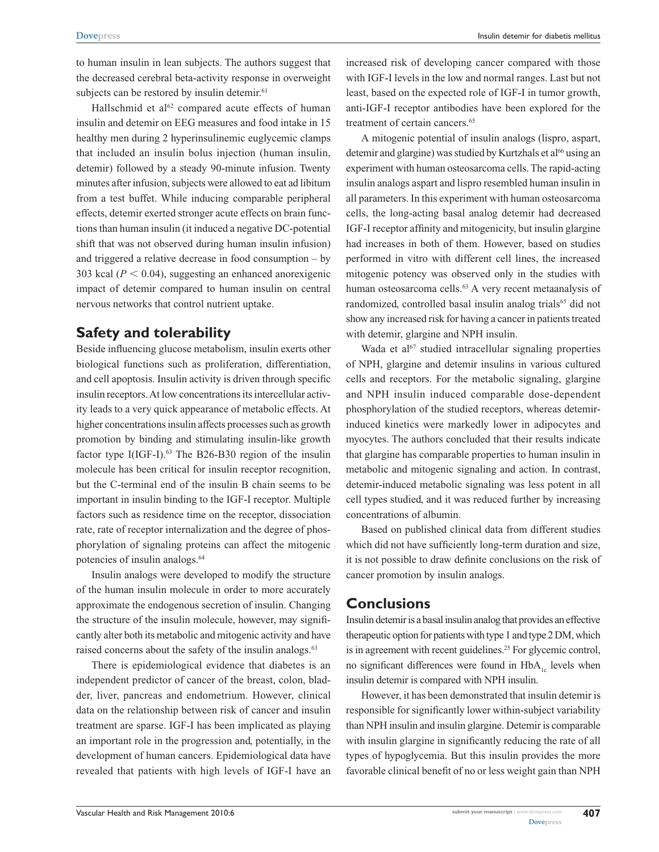to human insulin in lean subjects. The authors suggest that the decreased cerebral beta-activity response in overweight subjects can be restored by insulin detemir.<sup>61</sup>

Hallschmid et al $62$  compared acute effects of human insulin and detemir on EEG measures and food intake in 15 healthy men during 2 hyperinsulinemic euglycemic clamps that included an insulin bolus injection (human insulin, detemir) followed by a steady 90-minute infusion. Twenty minutes after infusion, subjects were allowed to eat ad libitum from a test buffet. While inducing comparable peripheral effects, detemir exerted stronger acute effects on brain functions than human insulin (it induced a negative DC-potential shift that was not observed during human insulin infusion) and triggered a relative decrease in food consumption – by 303 kcal  $(P < 0.04)$ , suggesting an enhanced anorexigenic impact of detemir compared to human insulin on central nervous networks that control nutrient uptake.

# **Safety and tolerability**

Beside influencing glucose metabolism, insulin exerts other biological functions such as proliferation, differentiation, and cell apoptosis. Insulin activity is driven through specific insulin receptors. At low concentrations its intercellular activity leads to a very quick appearance of metabolic effects. At higher concentrations insulin affects processes such as growth promotion by binding and stimulating insulin-like growth factor type I(IGF-I).<sup>63</sup> The B26-B30 region of the insulin molecule has been critical for insulin receptor recognition, but the C-terminal end of the insulin B chain seems to be important in insulin binding to the IGF-I receptor. Multiple factors such as residence time on the receptor, dissociation rate, rate of receptor internalization and the degree of phosphorylation of signaling proteins can affect the mitogenic potencies of insulin analogs.<sup>64</sup>

Insulin analogs were developed to modify the structure of the human insulin molecule in order to more accurately approximate the endogenous secretion of insulin. Changing the structure of the insulin molecule, however, may significantly alter both its metabolic and mitogenic activity and have raised concerns about the safety of the insulin analogs.<sup>63</sup>

There is epidemiological evidence that diabetes is an independent predictor of cancer of the breast, colon, bladder, liver, pancreas and endometrium. However, clinical data on the relationship between risk of cancer and insulin treatment are sparse. IGF-I has been implicated as playing an important role in the progression and, potentially, in the development of human cancers. Epidemiological data have revealed that patients with high levels of IGF-I have an increased risk of developing cancer compared with those with IGF-I levels in the low and normal ranges. Last but not least, based on the expected role of IGF-I in tumor growth, anti-IGF-I receptor antibodies have been explored for the treatment of certain cancers.<sup>65</sup>

A mitogenic potential of insulin analogs (lispro, aspart, detemir and glargine) was studied by Kurtzhals et al<sup>66</sup> using an experiment with human osteosarcoma cells. The rapid-acting insulin analogs aspart and lispro resembled human insulin in all parameters. In this experiment with human osteosarcoma cells, the long-acting basal analog detemir had decreased IGF-I receptor affinity and mitogenicity, but insulin glargine had increases in both of them. However, based on studies performed in vitro with different cell lines, the increased mitogenic potency was observed only in the studies with human osteosarcoma cells.<sup>63</sup> A very recent metaanalysis of randomized, controlled basal insulin analog trials<sup>65</sup> did not show any increased risk for having a cancer in patients treated with detemir, glargine and NPH insulin.

Wada et  $al^{67}$  studied intracellular signaling properties of NPH, glargine and detemir insulins in various cultured cells and receptors. For the metabolic signaling, glargine and NPH insulin induced comparable dose-dependent phosphorylation of the studied receptors, whereas detemirinduced kinetics were markedly lower in adipocytes and myocytes. The authors concluded that their results indicate that glargine has comparable properties to human insulin in metabolic and mitogenic signaling and action. In contrast, detemir-induced metabolic signaling was less potent in all cell types studied, and it was reduced further by increasing concentrations of albumin.

Based on published clinical data from different studies which did not have sufficiently long-term duration and size, it is not possible to draw definite conclusions on the risk of cancer promotion by insulin analogs.

# **Conclusions**

Insulin detemir is a basal insulin analog that provides an effective therapeutic option for patients with type 1 and type 2 DM, which is in agreement with recent guidelines.<sup>25</sup> For glycemic control, no significant differences were found in  $HbA<sub>l<sub>n</sub></sub>$  levels when insulin detemir is compared with NPH insulin.

However, it has been demonstrated that insulin detemir is responsible for significantly lower within-subject variability than NPH insulin and insulin glargine. Detemir is comparable with insulin glargine in significantly reducing the rate of all types of hypoglycemia. But this insulin provides the more favorable clinical benefit of no or less weight gain than NPH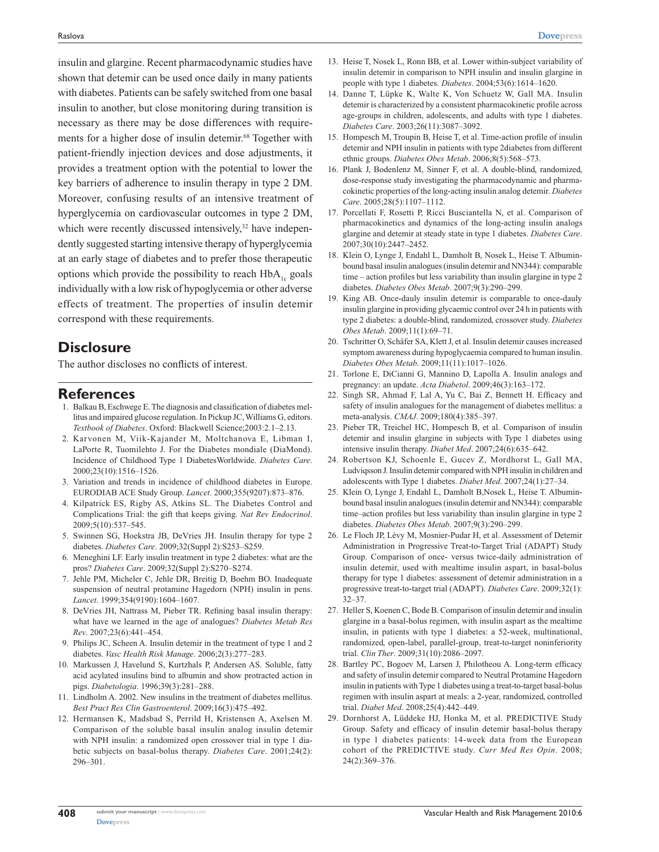insulin and glargine. Recent pharmacodynamic studies have shown that detemir can be used once daily in many patients with diabetes. Patients can be safely switched from one basal insulin to another, but close monitoring during transition is necessary as there may be dose differences with requirements for a higher dose of insulin detemir.<sup>68</sup> Together with patient-friendly injection devices and dose adjustments, it provides a treatment option with the potential to lower the key barriers of adherence to insulin therapy in type 2 DM. Moreover, confusing results of an intensive treatment of hyperglycemia on cardiovascular outcomes in type 2 DM, which were recently discussed intensively,<sup>32</sup> have independently suggested starting intensive therapy of hyperglycemia at an early stage of diabetes and to prefer those therapeutic options which provide the possibility to reach  $HbA<sub>1c</sub>$  goals individually with a low risk of hypoglycemia or other adverse effects of treatment. The properties of insulin detemir correspond with these requirements.

## **Disclosure**

The author discloses no conflicts of interest.

#### **References**

- 1. Balkau B, Eschwege E. The diagnosis and classification of diabetes mellitus and impaired glucose regulation. In Pickup JC, Williams G, editors. *Textbook of Diabetes*. Oxford: Blackwell Science;2003:2.1–2.13.
- 2. Karvonen M, Viik-Kajander M, Moltchanova E, Libman I, LaPorte R, Tuomilehto J. For the Diabetes mondiale (DiaMond). Incidence of Childhood Type 1 DiabetesWorldwide. *Diabetes Care*. 2000;23(10):1516–1526.
- 3. Variation and trends in incidence of childhood diabetes in Europe. EURODIAB ACE Study Group. *Lancet*. 2000;355(9207):873–876.
- 4. Kilpatrick ES, Rigby AS, Atkins SL. The Diabetes Control and Complications Trial: the gift that keeps giving. *Nat Rev Endocrinol*. 2009;5(10):537–545.
- 5. Swinnen SG, Hoekstra JB, DeVries JH. Insulin therapy for type 2 diabetes. *Diabetes Care*. 2009;32(Suppl 2):S253–S259.
- 6. Meneghini LF. Early insulin treatment in type 2 diabetes: what are the pros? *Diabetes Care*. 2009;32(Suppl 2):S270–S274.
- 7. Jehle PM, Micheler C, Jehle DR, Breitig D, Boehm BO. Inadequate suspension of neutral protamine Hagedorn (NPH) insulin in pens. *Lancet*. 1999;354(9190):1604–1607.
- 8. DeVries JH, Nattrass M, Pieber TR. Refining basal insulin therapy: what have we learned in the age of analogues? *Diabetes Metab Res Rev*. 2007;23(6):441–454.
- 9. Philips JC, Scheen A. Insulin detemir in the treatment of type 1 and 2 diabetes. *Vasc Health Risk Manage*. 2006;2(3):277–283.
- 10. Markussen J, Havelund S, Kurtzhals P, Andersen AS. Soluble, fatty acid acylated insulins bind to albumin and show protracted action in pigs. *Diabetologia*. 1996;39(3):281–288.
- 11. Lindholm A. 2002. New insulins in the treatment of diabetes mellitus. *Best Pract Res Clin Gastroenterol*. 2009;16(3):475–492.
- 12. Hermansen K, Madsbad S, Perrild H, Kristensen A, Axelsen M. Comparison of the soluble basal insulin analog insulin detemir with NPH insulin: a randomized open crossover trial in type 1 diabetic subjects on basal-bolus therapy. *Diabetes Care*. 2001;24(2): 296–301.
- 13. Heise T, Nosek L, Ronn BB, et al. Lower within-subject variability of insulin detemir in comparison to NPH insulin and insulin glargine in people with type 1 diabetes. *Diabetes*. 2004;53(6):1614–1620.
- 14. Danne T, Lüpke K, Walte K, Von Schuetz W, Gall MA. Insulin detemir is characterized by a consistent pharmacokinetic profile across age-groups in children, adolescents, and adults with type 1 diabetes. *Diabetes Care*. 2003;26(11):3087–3092.
- 15. Hompesch M, Troupin B, Heise T, et al. Time-action profile of insulin detemir and NPH insulin in patients with type 2diabetes from different ethnic groups. *Diabetes Obes Metab*. 2006;8(5):568–573.
- 16. Plank J, Bodenlenz M, Sinner F, et al. A double-blind, randomized, dose-response study investigating the pharmacodynamic and pharmacokinetic properties of the long-acting insulin analog detemir. *Diabetes Care*. 2005;28(5):1107–1112.
- 17. Porcellati F, Rosetti P, Ricci Busciantella N, et al. Comparison of pharmacokinetics and dynamics of the long-acting insulin analogs glargine and detemir at steady state in type 1 diabetes. *Diabetes Care*. 2007;30(10):2447–2452.
- 18. Klein O, Lynge J, Endahl L, Damholt B, Nosek L, Heise T. Albuminbound basal insulin analogues (insulin detemir and NN344): comparable time – action profiles but less variability than insulin glargine in type 2 diabetes. *Diabetes Obes Metab*. 2007;9(3):290–299.
- 19. King AB. Once-dauly insulin detemir is comparable to once-dauly insulin glargine in providing glycaemic control over 24 h in patients with type 2 diabetes: a double-blind, randomized, crossover study. *Diabetes Obes Metab*. 2009;11(1):69–71.
- 20. Tschritter O, Schäfer SA, Klett J, et al. Insulin detemir causes increased symptom awareness during hypoglycaemia compared to human insulin. *Diabetes Obes Metab*. 2009;11(11):1017–1026.
- 21. Torlone E, DiCianni G, Mannino D, Lapolla A. Insulin analogs and pregnancy: an update. *Acta Diabetol*. 2009;46(3):163–172.
- 22. Singh SR, Ahmad F, Lal A, Yu C, Bai Z, Bennett H. Efficacy and safety of insulin analogues for the management of diabetes mellitus: a meta-analysis. *CMAJ*. 2009;180(4):385–397.
- 23. Pieber TR, Treichel HC, Hompesch B, et al. Comparison of insulin detemir and insulin glargine in subjects with Type 1 diabetes using intensive insulin therapy. *Diabet Med*. 2007;24(6):635–642.
- 24. Robertson KJ, Schoenle E, Gucev Z, Mordhorst L, Gall MA, Ludviqsson J. Insulin detemir compared with NPH insulin in children and adolescents with Type 1 diabetes. *Diabet Med*. 2007;24(1):27–34.
- 25. Klein O, Lynge J, Endahl L, Damholt B,Nosek L, Heise T. Albuminbound basal insulin analogues (insulin detemir and NN344): comparable time–action profiles but less variability than insulin glargine in type 2 diabetes. *Diabetes Obes Metab*. 2007;9(3):290–299.
- 26. Le Floch JP, Lévy M, Mosnier-Pudar H, et al. Assessment of Detemir Administration in Progressive Treat-to-Target Trial (ADAPT) Study Group. Comparison of once- versus twice-daily administration of insulin detemir, used with mealtime insulin aspart, in basal-bolus therapy for type 1 diabetes: assessment of detemir administration in a progressive treat-to-target trial (ADAPT). *Diabetes Care*. 2009;32(1): 32–37.
- 27. Heller S, Koenen C, Bode B. Comparison of insulin detemir and insulin glargine in a basal-bolus regimen, with insulin aspart as the mealtime insulin, in patients with type 1 diabetes: a 52-week, multinational, randomized, open-label, parallel-group, treat-to-target noninferiority trial. *Clin Ther*. 2009;31(10):2086–2097.
- 28. Bartley PC, Bogoev M, Larsen J, Philotheou A. Long-term efficacy and safety of insulin detemir compared to Neutral Protamine Hagedorn insulin in patients with Type 1 diabetes using a treat-to-target basal-bolus regimen with insulin aspart at meals: a 2-year, randomized, controlled trial. *Diabet Med*. 2008;25(4):442–449.
- 29. Dornhorst A, Lüddeke HJ, Honka M, et al. PREDICTIVE Study Group. Safety and efficacy of insulin detemir basal-bolus therapy in type 1 diabetes patients: 14-week data from the European cohort of the PREDICTIVE study. *Curr Med Res Opin*. 2008; 24(2):369–376.

**[Dovepress](www.dovepress.com)**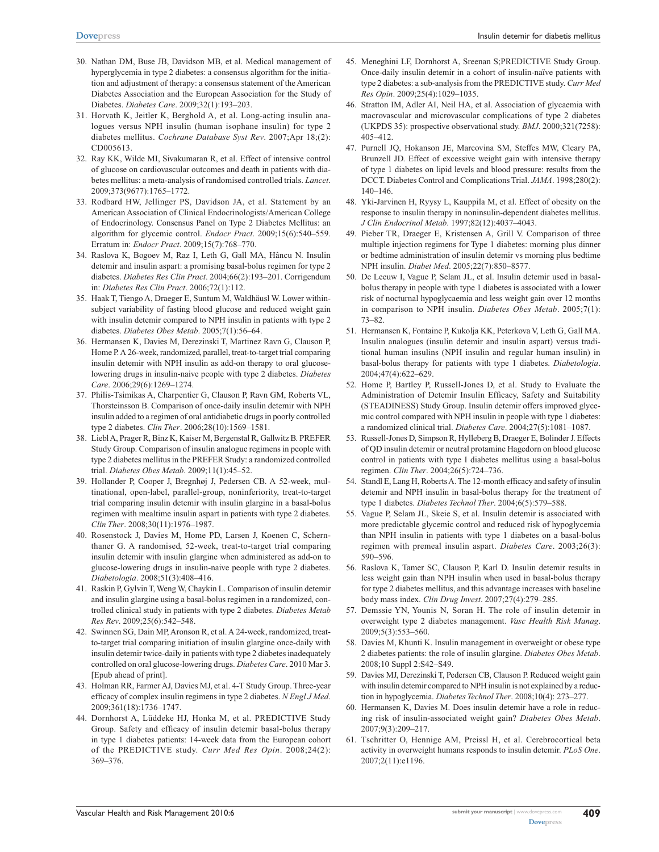- 30. Nathan DM, Buse JB, Davidson MB, et al. Medical management of hyperglycemia in type 2 diabetes: a consensus algorithm for the initiation and adjustment of therapy: a consensus statement of the American Diabetes Association and the European Association for the Study of Diabetes. *Diabetes Care*. 2009;32(1):193–203.
- 31. Horvath K, Jeitler K, Berghold A, et al. Long-acting insulin analogues versus NPH insulin (human isophane insulin) for type 2 diabetes mellitus. *Cochrane Database Syst Rev*. 2007;Apr 18;(2): CD005613.
- 32. Ray KK, Wilde MI, Sivakumaran R, et al. Effect of intensive control of glucose on cardiovascular outcomes and death in patients with diabetes mellitus: a meta-analysis of randomised controlled trials. *Lancet*. 2009;373(9677):1765–1772.
- 33. Rodbard HW, Jellinger PS, Davidson JA, et al. Statement by an American Association of Clinical Endocrinologists/American College of Endocrinology. Consensus Panel on Type 2 Diabetes Mellitus: an algorithm for glycemic control. *Endocr Pract*. 2009;15(6):540–559. Erratum in: *Endocr Pract*. 2009;15(7):768–770.
- 34. Raslova K, Bogoev M, Raz I, Leth G, Gall MA, Hâncu N. Insulin detemir and insulin aspart: a promising basal-bolus regimen for type 2 diabetes. *Diabetes Res Clin Pract*. 2004;66(2):193–201. Corrigendum in: *Diabetes Res Clin Pract*. 2006;72(1):112.
- 35. Haak T, Tiengo A, Draeger E, Suntum M, Waldhäusl W. Lower withinsubject variability of fasting blood glucose and reduced weight gain with insulin detemir compared to NPH insulin in patients with type 2 diabetes. *Diabetes Obes Metab*. 2005;7(1):56–64.
- 36. Hermansen K, Davies M, Derezinski T, Martinez Ravn G, Clauson P, Home P. A 26-week, randomized, parallel, treat-to-target trial comparing insulin detemir with NPH insulin as add-on therapy to oral glucoselowering drugs in insulin-naive people with type 2 diabetes. *Diabetes Care*. 2006;29(6):1269–1274.
- 37. Philis-Tsimikas A, Charpentier G, Clauson P, Ravn GM, Roberts VL, Thorsteinsson B. Comparison of once-daily insulin detemir with NPH insulin added to a regimen of oral antidiabetic drugs in poorly controlled type 2 diabetes. *Clin Ther*. 2006;28(10):1569–1581.
- 38. Liebl A, Prager R, Binz K, Kaiser M, Bergenstal R, Gallwitz B. PREFER Study Group. Comparison of insulin analogue regimens in people with type 2 diabetes mellitus in the PREFER Study: a randomized controlled trial. *Diabetes Obes Metab*. 2009;11(1):45–52.
- 39. Hollander P, Cooper J, Bregnhøj J, Pedersen CB. A 52-week, multinational, open-label, parallel-group, noninferiority, treat-to-target trial comparing insulin detemir with insulin glargine in a basal-bolus regimen with mealtime insulin aspart in patients with type 2 diabetes. *Clin Ther*. 2008;30(11):1976–1987.
- 40. Rosenstock J, Davies M, Home PD, Larsen J, Koenen C, Schernthaner G. A randomised, 52-week, treat-to-target trial comparing insulin detemir with insulin glargine when administered as add-on to glucose-lowering drugs in insulin-naive people with type 2 diabetes. *Diabetologia*. 2008;51(3):408–416.
- 41. Raskin P, Gylvin T, Weng W, Chaykin L. Comparison of insulin detemir and insulin glargine using a basal-bolus regimen in a randomized, controlled clinical study in patients with type 2 diabetes. *Diabetes Metab Res Rev*. 2009;25(6):542–548.
- 42. Swinnen SG, Dain MP, Aronson R, et al. A 24-week, randomized, treatto-target trial comparing initiation of insulin glargine once-daily with insulin detemir twice-daily in patients with type 2 diabetes inadequately controlled on oral glucose-lowering drugs. *Diabetes Care*. 2010 Mar 3. [Epub ahead of print].
- 43. Holman RR, Farmer AJ, Davies MJ, et al. 4-T Study Group. Three-year efficacy of complex insulin regimens in type 2 diabetes. *N Engl J Med*. 2009;361(18):1736–1747.
- 44. Dornhorst A, Lüddeke HJ, Honka M, et al. PREDICTIVE Study Group. Safety and efficacy of insulin detemir basal-bolus therapy in type 1 diabetes patients: 14-week data from the European cohort of the PREDICTIVE study. *Curr Med Res Opin*. 2008;24(2): 369–376.
- 45. Meneghini LF, Dornhorst A, Sreenan S;PREDICTIVE Study Group. Once-daily insulin detemir in a cohort of insulin-naïve patients with type 2 diabetes: a sub-analysis from the PREDICTIVE study. *Curr Med Res Opin*. 2009;25(4):1029–1035.
- 46. Stratton IM, Adler AI, Neil HA, et al. Association of glycaemia with macrovascular and microvascular complications of type 2 diabetes (UKPDS 35): prospective observational study. *BMJ*. 2000;321(7258): 405–412.
- 47. Purnell JQ, Hokanson JE, Marcovina SM, Steffes MW, Cleary PA, Brunzell JD. Effect of excessive weight gain with intensive therapy of type 1 diabetes on lipid levels and blood pressure: results from the DCCT. Diabetes Control and Complications Trial. *JAMA*. 1998;280(2): 140–146.
- 48. Yki-Jarvinen H, Ryysy L, Kauppila M, et al. Effect of obesity on the response to insulin therapy in noninsulin-dependent diabetes mellitus. *J Clin Endocrinol Metab*. 1997;82(12):4037–4043.
- 49. Pieber TR, Draeger E, Kristensen A, Grill V. Comparison of three multiple injection regimens for Type 1 diabetes: morning plus dinner or bedtime administration of insulin detemir vs morning plus bedtime NPH insulin. *Diabet Med*. 2005;22(7):850–8577.
- 50. De Leeuw I, Vague P, Selam JL, et al. Insulin detemir used in basalbolus therapy in people with type 1 diabetes is associated with a lower risk of nocturnal hypoglycaemia and less weight gain over 12 months in comparison to NPH insulin. *Diabetes Obes Metab*. 2005;7(1): 73–82.
- 51. Hermansen K, Fontaine P, Kukolja KK, Peterkova V, Leth G, Gall MA. Insulin analogues (insulin detemir and insulin aspart) versus traditional human insulins (NPH insulin and regular human insulin) in basal-bolus therapy for patients with type 1 diabetes. *Diabetologia*. 2004;47(4):622–629.
- 52. Home P, Bartley P, Russell-Jones D, et al. Study to Evaluate the Administration of Detemir Insulin Efficacy, Safety and Suitability (STEADINESS) Study Group. Insulin detemir offers improved glycemic control compared with NPH insulin in people with type 1 diabetes: a randomized clinical trial. *Diabetes Care*. 2004;27(5):1081–1087.
- 53. Russell-Jones D, Simpson R, Hylleberg B, Draeger E, Bolinder J. Effects of QD insulin detemir or neutral protamine Hagedorn on blood glucose control in patients with type I diabetes mellitus using a basal-bolus regimen. *Clin Ther*. 2004;26(5):724–736.
- 54. Standl E, Lang H, Roberts A. The 12-month efficacy and safety of insulin detemir and NPH insulin in basal-bolus therapy for the treatment of type 1 diabetes. *Diabetes Technol Ther*. 2004;6(5):579–588.
- 55. Vague P, Selam JL, Skeie S, et al. Insulin detemir is associated with more predictable glycemic control and reduced risk of hypoglycemia than NPH insulin in patients with type 1 diabetes on a basal-bolus regimen with premeal insulin aspart. *Diabetes Care*. 2003;26(3): 590–596.
- 56. Raslova K, Tamer SC, Clauson P, Karl D. Insulin detemir results in less weight gain than NPH insulin when used in basal-bolus therapy for type 2 diabetes mellitus, and this advantage increases with baseline body mass index. *Clin Drug Invest*. 2007;27(4):279–285.
- 57. Demssie YN, Younis N, Soran H. The role of insulin detemir in overweight type 2 diabetes management. *Vasc Health Risk Manag*. 2009;5(3):553–560.
- 58. Davies M, Khunti K. Insulin management in overweight or obese type 2 diabetes patients: the role of insulin glargine. *Diabetes Obes Metab*. 2008;10 Suppl 2:S42–S49.
- 59. Davies MJ, Derezinski T, Pedersen CB, Clauson P. Reduced weight gain with insulin detemir compared to NPH insulin is not explained by a reduction in hypoglycemia. *Diabetes Technol Ther*. 2008;10(4): 273–277.
- 60. Hermansen K, Davies M. Does insulin detemir have a role in reducing risk of insulin-associated weight gain? *Diabetes Obes Metab*. 2007;9(3):209–217.
- 61. Tschritter O, Hennige AM, Preissl H, et al. Cerebrocortical beta activity in overweight humans responds to insulin detemir. *PLoS One*. 2007;2(11):e1196.